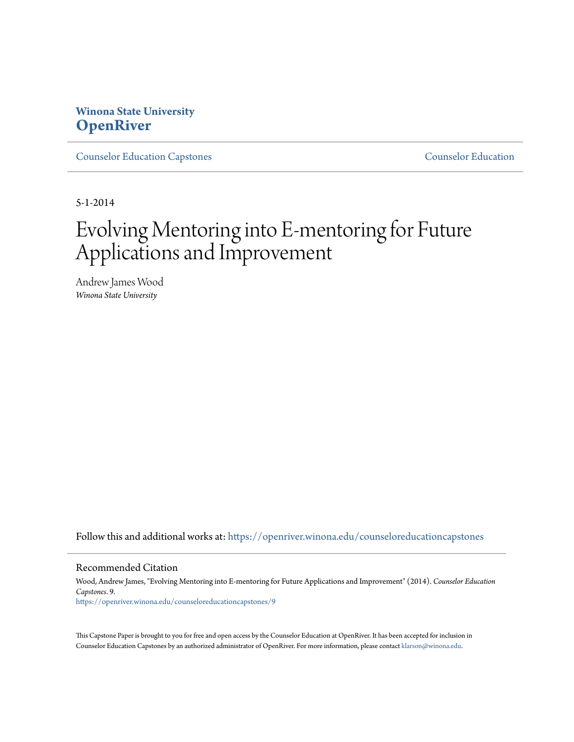# **Winona State University [OpenRiver](https://openriver.winona.edu?utm_source=openriver.winona.edu%2Fcounseloreducationcapstones%2F9&utm_medium=PDF&utm_campaign=PDFCoverPages)**

[Counselor Education Capstones](https://openriver.winona.edu/counseloreducationcapstones?utm_source=openriver.winona.edu%2Fcounseloreducationcapstones%2F9&utm_medium=PDF&utm_campaign=PDFCoverPages) [Counselor Education](https://openriver.winona.edu/counseloreducation?utm_source=openriver.winona.edu%2Fcounseloreducationcapstones%2F9&utm_medium=PDF&utm_campaign=PDFCoverPages)

5-1-2014

# Evolving Mentoring into E-mentoring for Future Applications and Improvement

Andrew James Wood *Winona State University*

Follow this and additional works at: [https://openriver.winona.edu/counseloreducationcapstones](https://openriver.winona.edu/counseloreducationcapstones?utm_source=openriver.winona.edu%2Fcounseloreducationcapstones%2F9&utm_medium=PDF&utm_campaign=PDFCoverPages)

#### Recommended Citation

Wood, Andrew James, "Evolving Mentoring into E-mentoring for Future Applications and Improvement" (2014). *Counselor Education Capstones*. 9. [https://openriver.winona.edu/counseloreducationcapstones/9](https://openriver.winona.edu/counseloreducationcapstones/9?utm_source=openriver.winona.edu%2Fcounseloreducationcapstones%2F9&utm_medium=PDF&utm_campaign=PDFCoverPages)

This Capstone Paper is brought to you for free and open access by the Counselor Education at OpenRiver. It has been accepted for inclusion in Counselor Education Capstones by an authorized administrator of OpenRiver. For more information, please contact [klarson@winona.edu](mailto:klarson@winona.edu).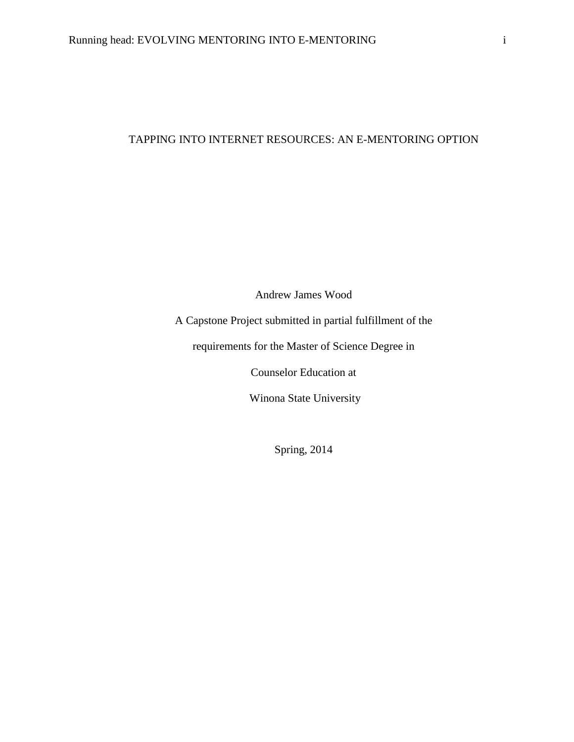## TAPPING INTO INTERNET RESOURCES: AN E-MENTORING OPTION

Andrew James Wood

A Capstone Project submitted in partial fulfillment of the

requirements for the Master of Science Degree in

Counselor Education at

Winona State University

Spring, 2014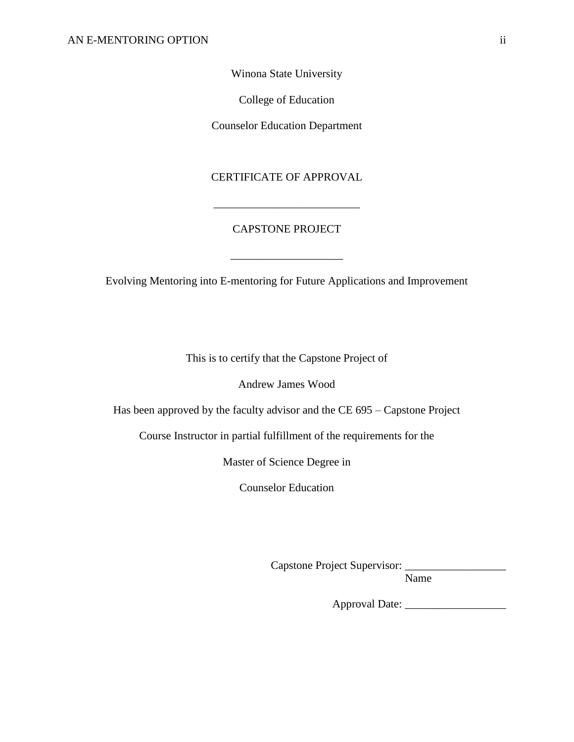Winona State University

College of Education

Counselor Education Department

## CERTIFICATE OF APPROVAL

\_\_\_\_\_\_\_\_\_\_\_\_\_\_\_\_\_\_\_\_\_\_\_\_\_\_

## CAPSTONE PROJECT

\_\_\_\_\_\_\_\_\_\_\_\_\_\_\_\_\_\_\_\_

Evolving Mentoring into E-mentoring for Future Applications and Improvement

This is to certify that the Capstone Project of

Andrew James Wood

Has been approved by the faculty advisor and the CE 695 – Capstone Project

Course Instructor in partial fulfillment of the requirements for the

Master of Science Degree in

Counselor Education

Capstone Project Supervisor: \_\_\_\_\_\_\_\_\_\_\_\_\_\_\_\_\_\_

Name

Approval Date: \_\_\_\_\_\_\_\_\_\_\_\_\_\_\_\_\_\_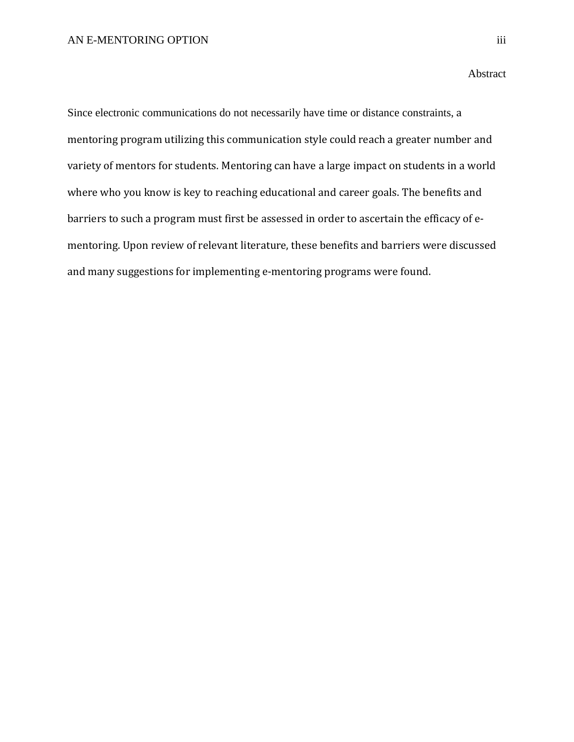Since electronic communications do not necessarily have time or distance constraints, a mentoring program utilizing this communication style could reach a greater number and variety of mentors for students. Mentoring can have a large impact on students in a world where who you know is key to reaching educational and career goals. The benefits and barriers to such a program must first be assessed in order to ascertain the efficacy of ementoring. Upon review of relevant literature, these benefits and barriers were discussed and many suggestions for implementing e-mentoring programs were found.

#### Abstract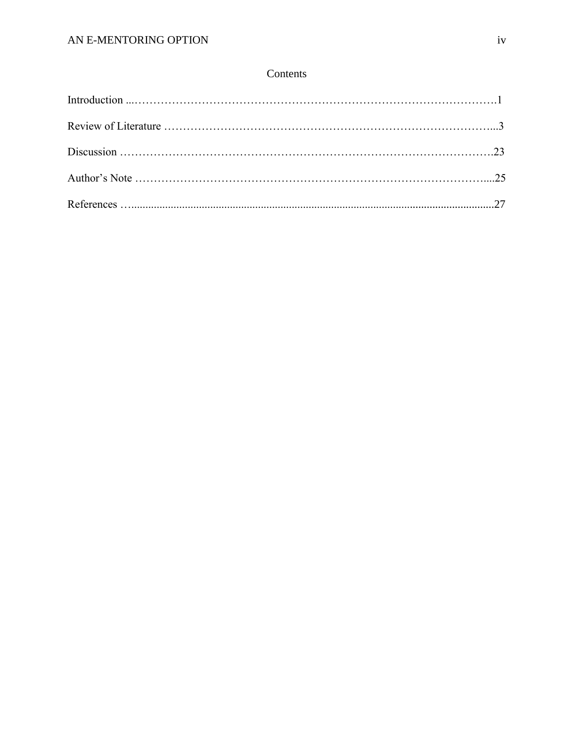## Contents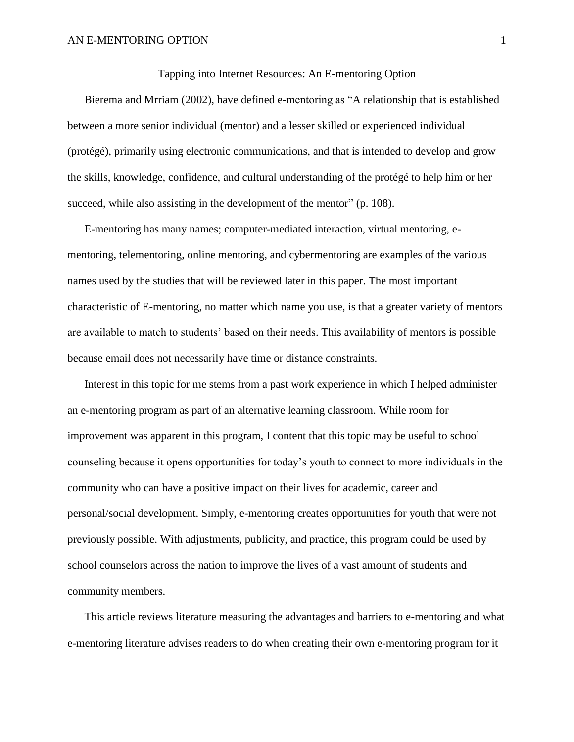Tapping into Internet Resources: An E-mentoring Option

Bierema and Mrriam (2002), have defined e-mentoring as "A relationship that is established between a more senior individual (mentor) and a lesser skilled or experienced individual (protégé), primarily using electronic communications, and that is intended to develop and grow the skills, knowledge, confidence, and cultural understanding of the protégé to help him or her succeed, while also assisting in the development of the mentor" (p. 108).

E-mentoring has many names; computer-mediated interaction, virtual mentoring, ementoring, telementoring, online mentoring, and cybermentoring are examples of the various names used by the studies that will be reviewed later in this paper. The most important characteristic of E-mentoring, no matter which name you use, is that a greater variety of mentors are available to match to students' based on their needs. This availability of mentors is possible because email does not necessarily have time or distance constraints.

Interest in this topic for me stems from a past work experience in which I helped administer an e-mentoring program as part of an alternative learning classroom. While room for improvement was apparent in this program, I content that this topic may be useful to school counseling because it opens opportunities for today's youth to connect to more individuals in the community who can have a positive impact on their lives for academic, career and personal/social development. Simply, e-mentoring creates opportunities for youth that were not previously possible. With adjustments, publicity, and practice, this program could be used by school counselors across the nation to improve the lives of a vast amount of students and community members.

This article reviews literature measuring the advantages and barriers to e-mentoring and what e-mentoring literature advises readers to do when creating their own e-mentoring program for it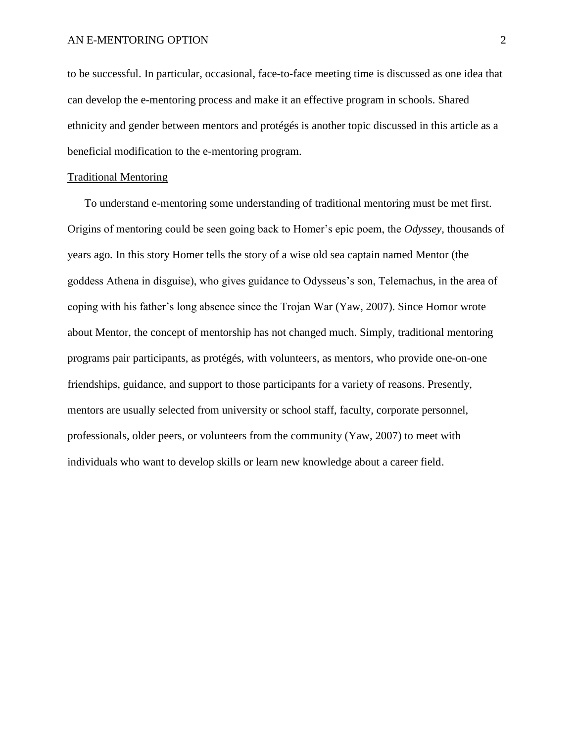to be successful. In particular, occasional, face-to-face meeting time is discussed as one idea that can develop the e-mentoring process and make it an effective program in schools. Shared ethnicity and gender between mentors and protégés is another topic discussed in this article as a beneficial modification to the e-mentoring program.

## Traditional Mentoring

To understand e-mentoring some understanding of traditional mentoring must be met first. Origins of mentoring could be seen going back to Homer's epic poem, the *Odyssey,* thousands of years ago*.* In this story Homer tells the story of a wise old sea captain named Mentor (the goddess Athena in disguise), who gives guidance to Odysseus's son, Telemachus, in the area of coping with his father's long absence since the Trojan War (Yaw, 2007). Since Homor wrote about Mentor, the concept of mentorship has not changed much. Simply, traditional mentoring programs pair participants, as protégés, with volunteers, as mentors, who provide one-on-one friendships, guidance, and support to those participants for a variety of reasons. Presently, mentors are usually selected from university or school staff, faculty, corporate personnel, professionals, older peers, or volunteers from the community (Yaw, 2007) to meet with individuals who want to develop skills or learn new knowledge about a career field.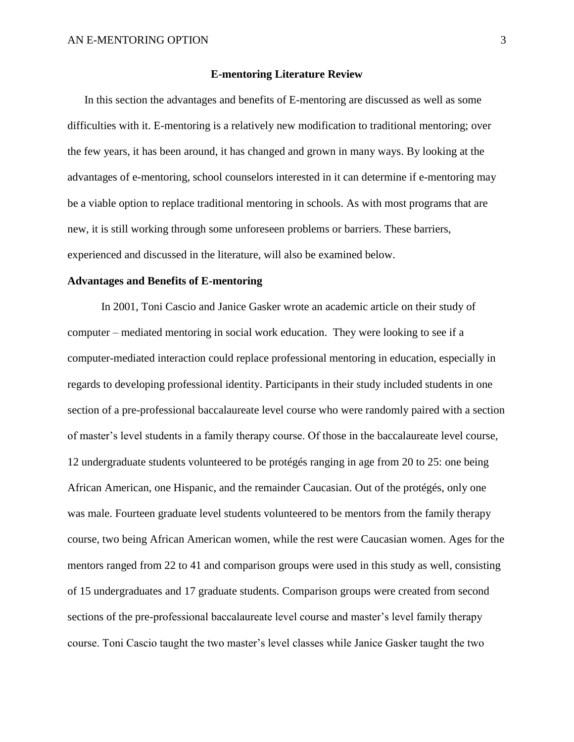## **E-mentoring Literature Review**

In this section the advantages and benefits of E-mentoring are discussed as well as some difficulties with it. E-mentoring is a relatively new modification to traditional mentoring; over the few years, it has been around, it has changed and grown in many ways. By looking at the advantages of e-mentoring, school counselors interested in it can determine if e-mentoring may be a viable option to replace traditional mentoring in schools. As with most programs that are new, it is still working through some unforeseen problems or barriers. These barriers, experienced and discussed in the literature, will also be examined below.

## **Advantages and Benefits of E-mentoring**

In 2001, Toni Cascio and Janice Gasker wrote an academic article on their study of computer – mediated mentoring in social work education. They were looking to see if a computer-mediated interaction could replace professional mentoring in education, especially in regards to developing professional identity. Participants in their study included students in one section of a pre-professional baccalaureate level course who were randomly paired with a section of master's level students in a family therapy course. Of those in the baccalaureate level course, 12 undergraduate students volunteered to be protégés ranging in age from 20 to 25: one being African American, one Hispanic, and the remainder Caucasian. Out of the protégés, only one was male. Fourteen graduate level students volunteered to be mentors from the family therapy course, two being African American women, while the rest were Caucasian women. Ages for the mentors ranged from 22 to 41 and comparison groups were used in this study as well, consisting of 15 undergraduates and 17 graduate students. Comparison groups were created from second sections of the pre-professional baccalaureate level course and master's level family therapy course. Toni Cascio taught the two master's level classes while Janice Gasker taught the two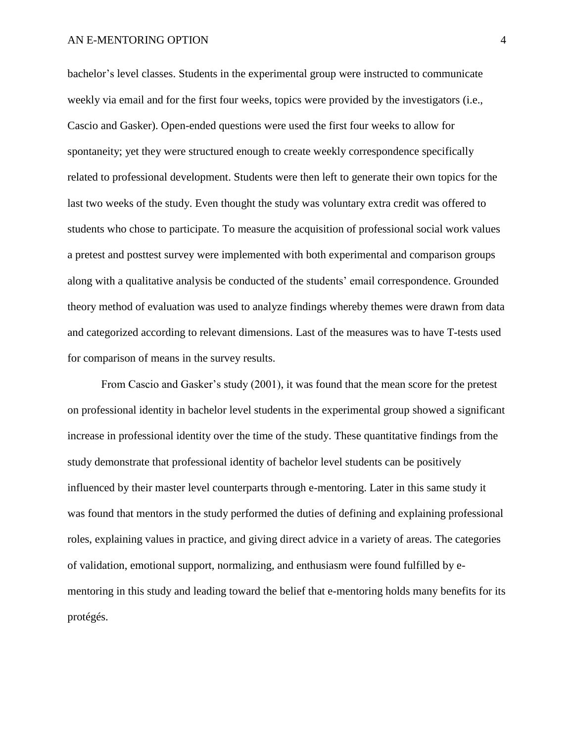bachelor's level classes. Students in the experimental group were instructed to communicate weekly via email and for the first four weeks, topics were provided by the investigators (i.e., Cascio and Gasker). Open-ended questions were used the first four weeks to allow for spontaneity; yet they were structured enough to create weekly correspondence specifically related to professional development. Students were then left to generate their own topics for the last two weeks of the study. Even thought the study was voluntary extra credit was offered to students who chose to participate. To measure the acquisition of professional social work values a pretest and posttest survey were implemented with both experimental and comparison groups along with a qualitative analysis be conducted of the students' email correspondence. Grounded theory method of evaluation was used to analyze findings whereby themes were drawn from data and categorized according to relevant dimensions. Last of the measures was to have T-tests used for comparison of means in the survey results.

From Cascio and Gasker's study (2001), it was found that the mean score for the pretest on professional identity in bachelor level students in the experimental group showed a significant increase in professional identity over the time of the study. These quantitative findings from the study demonstrate that professional identity of bachelor level students can be positively influenced by their master level counterparts through e-mentoring. Later in this same study it was found that mentors in the study performed the duties of defining and explaining professional roles, explaining values in practice, and giving direct advice in a variety of areas. The categories of validation, emotional support, normalizing, and enthusiasm were found fulfilled by ementoring in this study and leading toward the belief that e-mentoring holds many benefits for its protégés.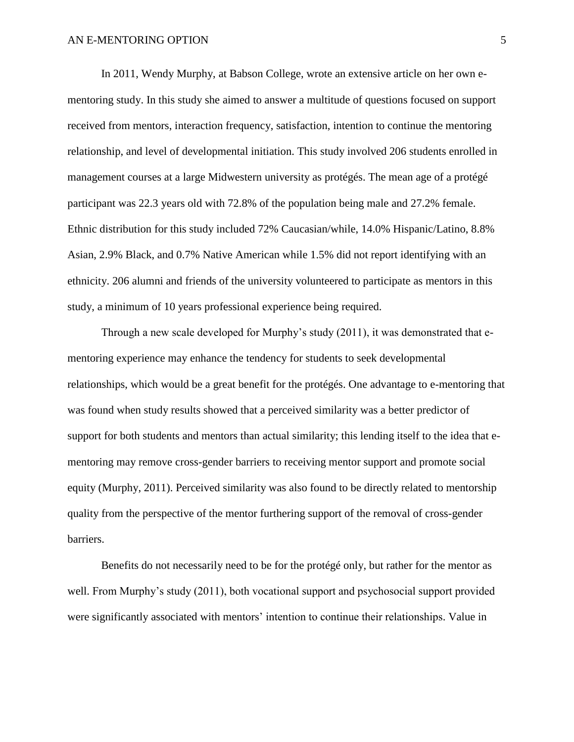In 2011, Wendy Murphy, at Babson College, wrote an extensive article on her own ementoring study. In this study she aimed to answer a multitude of questions focused on support received from mentors, interaction frequency, satisfaction, intention to continue the mentoring relationship, and level of developmental initiation. This study involved 206 students enrolled in management courses at a large Midwestern university as protégés. The mean age of a protégé participant was 22.3 years old with 72.8% of the population being male and 27.2% female. Ethnic distribution for this study included 72% Caucasian/while, 14.0% Hispanic/Latino, 8.8% Asian, 2.9% Black, and 0.7% Native American while 1.5% did not report identifying with an ethnicity. 206 alumni and friends of the university volunteered to participate as mentors in this study, a minimum of 10 years professional experience being required.

Through a new scale developed for Murphy's study (2011), it was demonstrated that ementoring experience may enhance the tendency for students to seek developmental relationships, which would be a great benefit for the protégés. One advantage to e-mentoring that was found when study results showed that a perceived similarity was a better predictor of support for both students and mentors than actual similarity; this lending itself to the idea that ementoring may remove cross-gender barriers to receiving mentor support and promote social equity (Murphy, 2011). Perceived similarity was also found to be directly related to mentorship quality from the perspective of the mentor furthering support of the removal of cross-gender barriers.

Benefits do not necessarily need to be for the protégé only, but rather for the mentor as well. From Murphy's study (2011), both vocational support and psychosocial support provided were significantly associated with mentors' intention to continue their relationships. Value in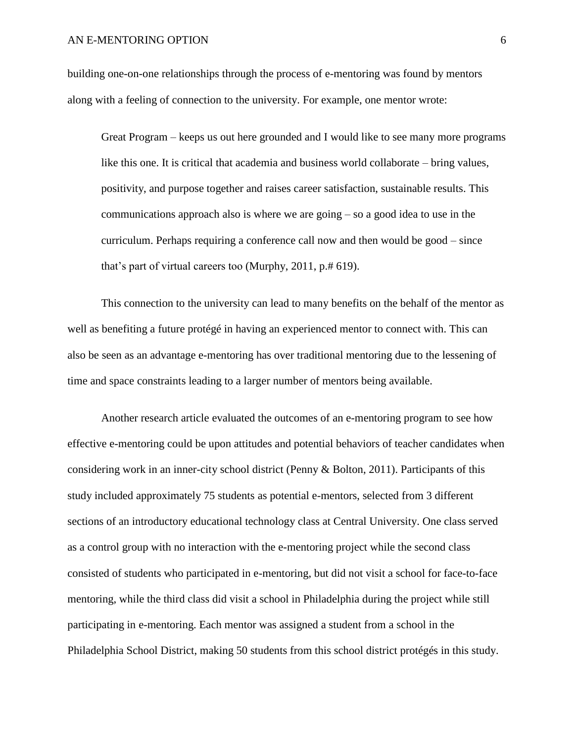building one-on-one relationships through the process of e-mentoring was found by mentors along with a feeling of connection to the university. For example, one mentor wrote:

Great Program – keeps us out here grounded and I would like to see many more programs like this one. It is critical that academia and business world collaborate – bring values, positivity, and purpose together and raises career satisfaction, sustainable results. This communications approach also is where we are going – so a good idea to use in the curriculum. Perhaps requiring a conference call now and then would be good – since that's part of virtual careers too (Murphy, 2011, p.# 619).

This connection to the university can lead to many benefits on the behalf of the mentor as well as benefiting a future protégé in having an experienced mentor to connect with. This can also be seen as an advantage e-mentoring has over traditional mentoring due to the lessening of time and space constraints leading to a larger number of mentors being available.

Another research article evaluated the outcomes of an e-mentoring program to see how effective e-mentoring could be upon attitudes and potential behaviors of teacher candidates when considering work in an inner-city school district (Penny & Bolton, 2011). Participants of this study included approximately 75 students as potential e-mentors, selected from 3 different sections of an introductory educational technology class at Central University. One class served as a control group with no interaction with the e-mentoring project while the second class consisted of students who participated in e-mentoring, but did not visit a school for face-to-face mentoring, while the third class did visit a school in Philadelphia during the project while still participating in e-mentoring. Each mentor was assigned a student from a school in the Philadelphia School District, making 50 students from this school district protégés in this study.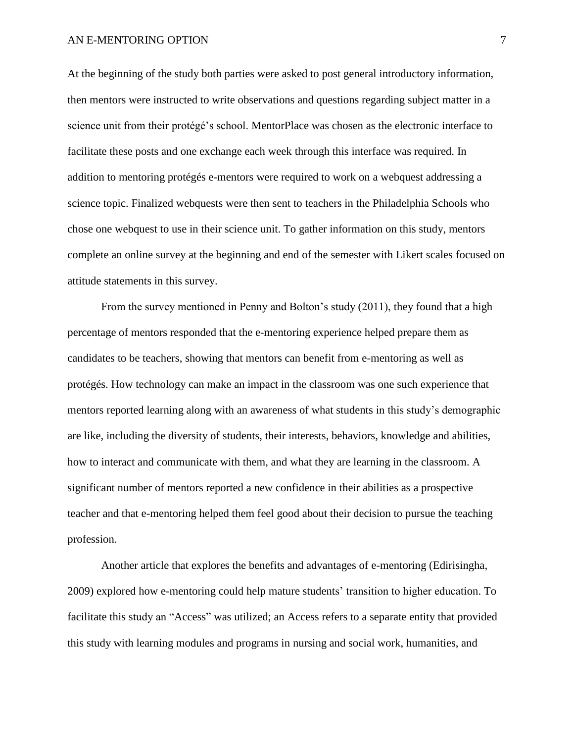At the beginning of the study both parties were asked to post general introductory information, then mentors were instructed to write observations and questions regarding subject matter in a science unit from their protégé's school. MentorPlace was chosen as the electronic interface to facilitate these posts and one exchange each week through this interface was required. In addition to mentoring protégés e-mentors were required to work on a webquest addressing a science topic. Finalized webquests were then sent to teachers in the Philadelphia Schools who chose one webquest to use in their science unit. To gather information on this study, mentors complete an online survey at the beginning and end of the semester with Likert scales focused on attitude statements in this survey.

From the survey mentioned in Penny and Bolton's study (2011), they found that a high percentage of mentors responded that the e-mentoring experience helped prepare them as candidates to be teachers, showing that mentors can benefit from e-mentoring as well as protégés. How technology can make an impact in the classroom was one such experience that mentors reported learning along with an awareness of what students in this study's demographic are like, including the diversity of students, their interests, behaviors, knowledge and abilities, how to interact and communicate with them, and what they are learning in the classroom. A significant number of mentors reported a new confidence in their abilities as a prospective teacher and that e-mentoring helped them feel good about their decision to pursue the teaching profession.

Another article that explores the benefits and advantages of e-mentoring (Edirisingha, 2009) explored how e-mentoring could help mature students' transition to higher education. To facilitate this study an "Access" was utilized; an Access refers to a separate entity that provided this study with learning modules and programs in nursing and social work, humanities, and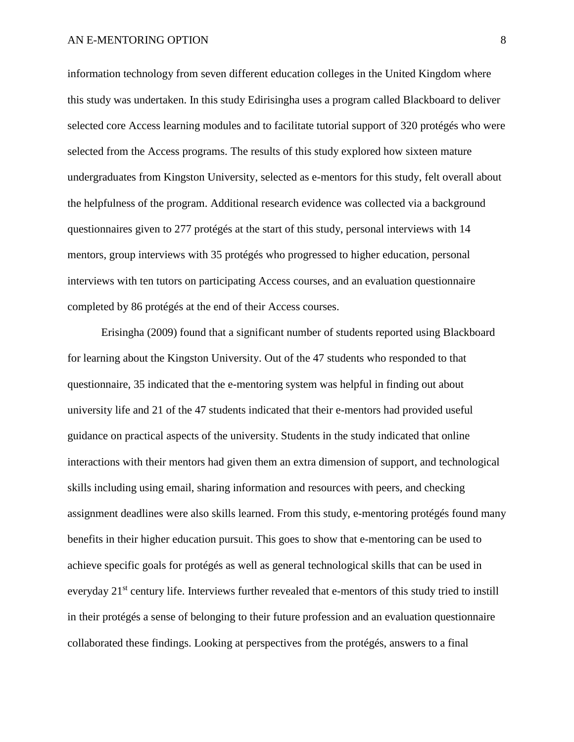information technology from seven different education colleges in the United Kingdom where this study was undertaken. In this study Edirisingha uses a program called Blackboard to deliver selected core Access learning modules and to facilitate tutorial support of 320 protégés who were selected from the Access programs. The results of this study explored how sixteen mature undergraduates from Kingston University, selected as e-mentors for this study, felt overall about the helpfulness of the program. Additional research evidence was collected via a background questionnaires given to 277 protégés at the start of this study, personal interviews with 14 mentors, group interviews with 35 protégés who progressed to higher education, personal interviews with ten tutors on participating Access courses, and an evaluation questionnaire completed by 86 protégés at the end of their Access courses.

Erisingha (2009) found that a significant number of students reported using Blackboard for learning about the Kingston University. Out of the 47 students who responded to that questionnaire, 35 indicated that the e-mentoring system was helpful in finding out about university life and 21 of the 47 students indicated that their e-mentors had provided useful guidance on practical aspects of the university. Students in the study indicated that online interactions with their mentors had given them an extra dimension of support, and technological skills including using email, sharing information and resources with peers, and checking assignment deadlines were also skills learned. From this study, e-mentoring protégés found many benefits in their higher education pursuit. This goes to show that e-mentoring can be used to achieve specific goals for protégés as well as general technological skills that can be used in everyday 21<sup>st</sup> century life. Interviews further revealed that e-mentors of this study tried to instill in their protégés a sense of belonging to their future profession and an evaluation questionnaire collaborated these findings. Looking at perspectives from the protégés, answers to a final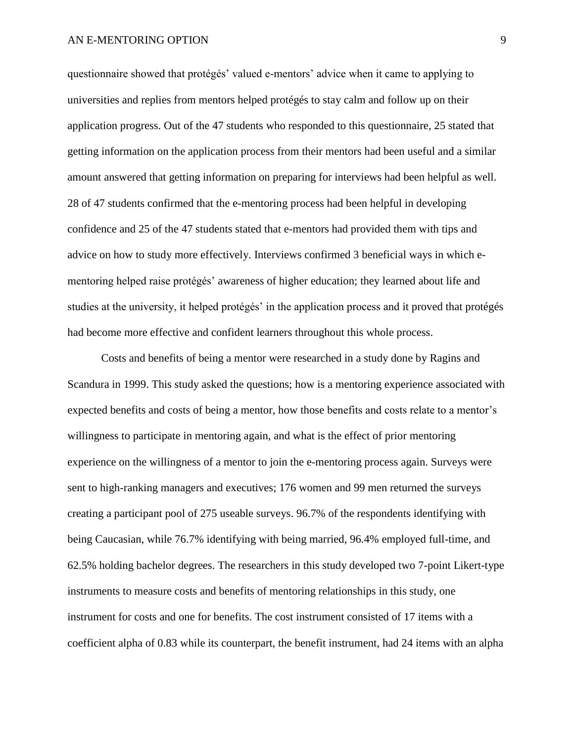questionnaire showed that protégés' valued e-mentors' advice when it came to applying to universities and replies from mentors helped protégés to stay calm and follow up on their application progress. Out of the 47 students who responded to this questionnaire, 25 stated that getting information on the application process from their mentors had been useful and a similar amount answered that getting information on preparing for interviews had been helpful as well. 28 of 47 students confirmed that the e-mentoring process had been helpful in developing confidence and 25 of the 47 students stated that e-mentors had provided them with tips and advice on how to study more effectively. Interviews confirmed 3 beneficial ways in which ementoring helped raise protégés' awareness of higher education; they learned about life and studies at the university, it helped protégés' in the application process and it proved that protégés had become more effective and confident learners throughout this whole process.

Costs and benefits of being a mentor were researched in a study done by Ragins and Scandura in 1999. This study asked the questions; how is a mentoring experience associated with expected benefits and costs of being a mentor, how those benefits and costs relate to a mentor's willingness to participate in mentoring again, and what is the effect of prior mentoring experience on the willingness of a mentor to join the e-mentoring process again. Surveys were sent to high-ranking managers and executives; 176 women and 99 men returned the surveys creating a participant pool of 275 useable surveys. 96.7% of the respondents identifying with being Caucasian, while 76.7% identifying with being married, 96.4% employed full-time, and 62.5% holding bachelor degrees. The researchers in this study developed two 7-point Likert-type instruments to measure costs and benefits of mentoring relationships in this study, one instrument for costs and one for benefits. The cost instrument consisted of 17 items with a coefficient alpha of 0.83 while its counterpart, the benefit instrument, had 24 items with an alpha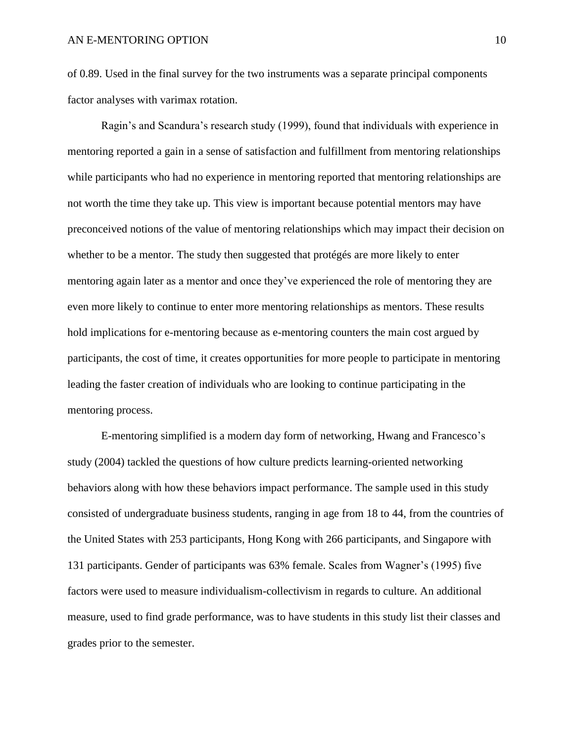of 0.89. Used in the final survey for the two instruments was a separate principal components factor analyses with varimax rotation.

Ragin's and Scandura's research study (1999), found that individuals with experience in mentoring reported a gain in a sense of satisfaction and fulfillment from mentoring relationships while participants who had no experience in mentoring reported that mentoring relationships are not worth the time they take up. This view is important because potential mentors may have preconceived notions of the value of mentoring relationships which may impact their decision on whether to be a mentor. The study then suggested that protégés are more likely to enter mentoring again later as a mentor and once they've experienced the role of mentoring they are even more likely to continue to enter more mentoring relationships as mentors. These results hold implications for e-mentoring because as e-mentoring counters the main cost argued by participants, the cost of time, it creates opportunities for more people to participate in mentoring leading the faster creation of individuals who are looking to continue participating in the mentoring process.

E-mentoring simplified is a modern day form of networking, Hwang and Francesco's study (2004) tackled the questions of how culture predicts learning-oriented networking behaviors along with how these behaviors impact performance. The sample used in this study consisted of undergraduate business students, ranging in age from 18 to 44, from the countries of the United States with 253 participants, Hong Kong with 266 participants, and Singapore with 131 participants. Gender of participants was 63% female. Scales from Wagner's (1995) five factors were used to measure individualism-collectivism in regards to culture. An additional measure, used to find grade performance, was to have students in this study list their classes and grades prior to the semester.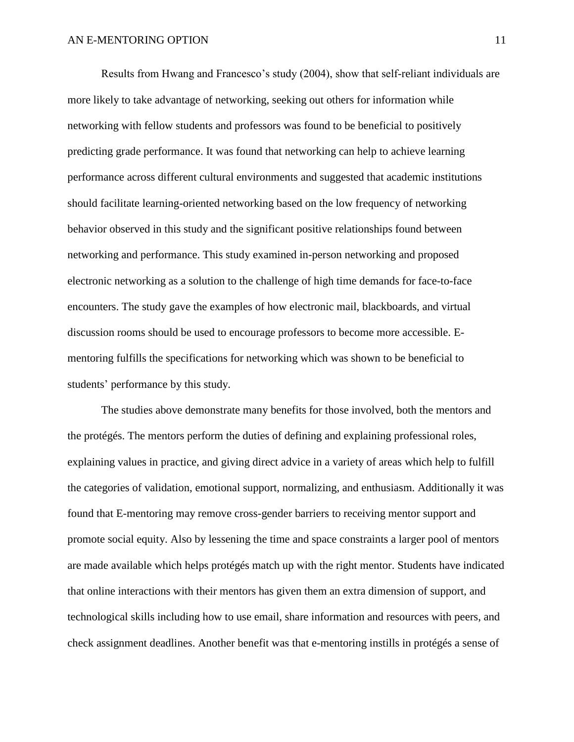Results from Hwang and Francesco's study (2004), show that self-reliant individuals are more likely to take advantage of networking, seeking out others for information while networking with fellow students and professors was found to be beneficial to positively predicting grade performance. It was found that networking can help to achieve learning performance across different cultural environments and suggested that academic institutions should facilitate learning-oriented networking based on the low frequency of networking behavior observed in this study and the significant positive relationships found between networking and performance. This study examined in-person networking and proposed electronic networking as a solution to the challenge of high time demands for face-to-face encounters. The study gave the examples of how electronic mail, blackboards, and virtual discussion rooms should be used to encourage professors to become more accessible. Ementoring fulfills the specifications for networking which was shown to be beneficial to students' performance by this study.

The studies above demonstrate many benefits for those involved, both the mentors and the protégés. The mentors perform the duties of defining and explaining professional roles, explaining values in practice, and giving direct advice in a variety of areas which help to fulfill the categories of validation, emotional support, normalizing, and enthusiasm. Additionally it was found that E-mentoring may remove cross-gender barriers to receiving mentor support and promote social equity. Also by lessening the time and space constraints a larger pool of mentors are made available which helps protégés match up with the right mentor. Students have indicated that online interactions with their mentors has given them an extra dimension of support, and technological skills including how to use email, share information and resources with peers, and check assignment deadlines. Another benefit was that e-mentoring instills in protégés a sense of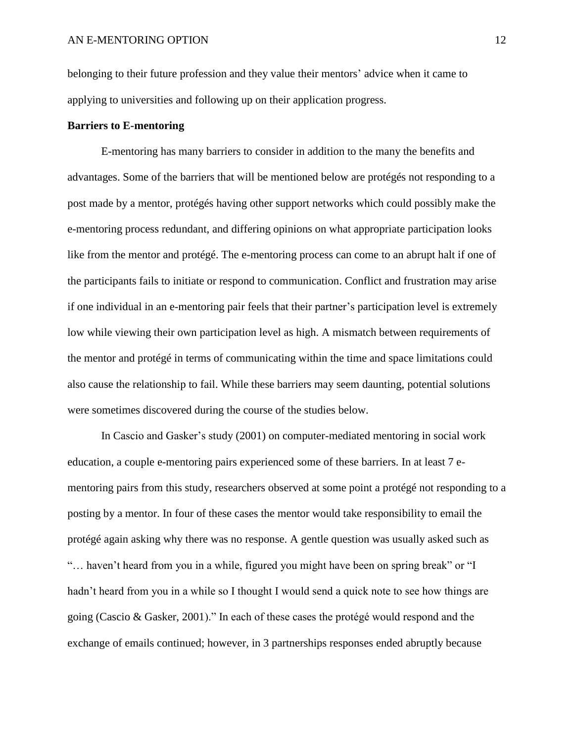belonging to their future profession and they value their mentors' advice when it came to applying to universities and following up on their application progress.

## **Barriers to E-mentoring**

E-mentoring has many barriers to consider in addition to the many the benefits and advantages. Some of the barriers that will be mentioned below are protégés not responding to a post made by a mentor, protégés having other support networks which could possibly make the e-mentoring process redundant, and differing opinions on what appropriate participation looks like from the mentor and protégé. The e-mentoring process can come to an abrupt halt if one of the participants fails to initiate or respond to communication. Conflict and frustration may arise if one individual in an e-mentoring pair feels that their partner's participation level is extremely low while viewing their own participation level as high. A mismatch between requirements of the mentor and protégé in terms of communicating within the time and space limitations could also cause the relationship to fail. While these barriers may seem daunting, potential solutions were sometimes discovered during the course of the studies below.

In Cascio and Gasker's study (2001) on computer-mediated mentoring in social work education, a couple e-mentoring pairs experienced some of these barriers. In at least 7 ementoring pairs from this study, researchers observed at some point a protégé not responding to a posting by a mentor. In four of these cases the mentor would take responsibility to email the protégé again asking why there was no response. A gentle question was usually asked such as "… haven't heard from you in a while, figured you might have been on spring break" or "I hadn't heard from you in a while so I thought I would send a quick note to see how things are going (Cascio & Gasker, 2001)." In each of these cases the protégé would respond and the exchange of emails continued; however, in 3 partnerships responses ended abruptly because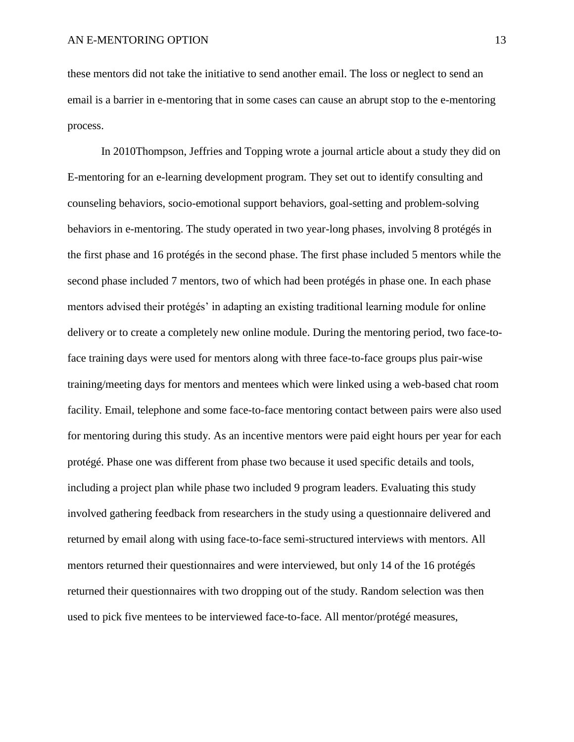these mentors did not take the initiative to send another email. The loss or neglect to send an email is a barrier in e-mentoring that in some cases can cause an abrupt stop to the e-mentoring process.

In 2010Thompson, Jeffries and Topping wrote a journal article about a study they did on E-mentoring for an e-learning development program. They set out to identify consulting and counseling behaviors, socio-emotional support behaviors, goal-setting and problem-solving behaviors in e-mentoring. The study operated in two year-long phases, involving 8 protégés in the first phase and 16 protégés in the second phase. The first phase included 5 mentors while the second phase included 7 mentors, two of which had been protégés in phase one. In each phase mentors advised their protégés' in adapting an existing traditional learning module for online delivery or to create a completely new online module. During the mentoring period, two face-toface training days were used for mentors along with three face-to-face groups plus pair-wise training/meeting days for mentors and mentees which were linked using a web-based chat room facility. Email, telephone and some face-to-face mentoring contact between pairs were also used for mentoring during this study. As an incentive mentors were paid eight hours per year for each protégé. Phase one was different from phase two because it used specific details and tools, including a project plan while phase two included 9 program leaders. Evaluating this study involved gathering feedback from researchers in the study using a questionnaire delivered and returned by email along with using face-to-face semi-structured interviews with mentors. All mentors returned their questionnaires and were interviewed, but only 14 of the 16 protégés returned their questionnaires with two dropping out of the study. Random selection was then used to pick five mentees to be interviewed face-to-face. All mentor/protégé measures,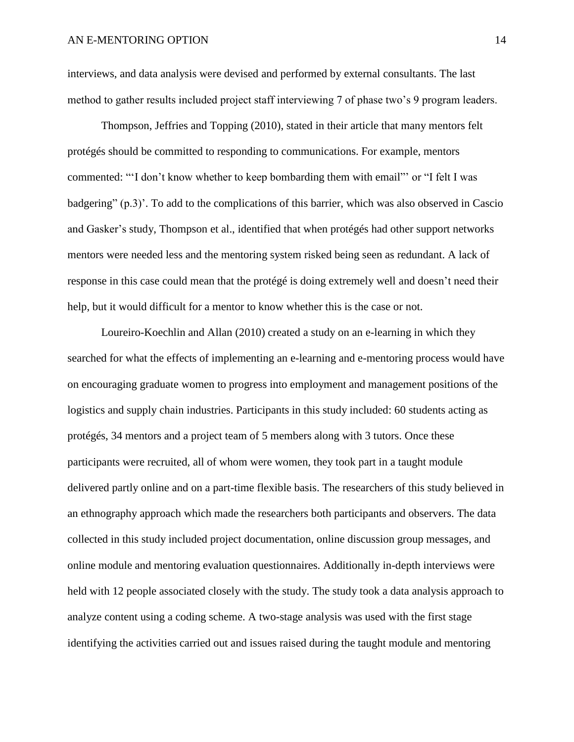interviews, and data analysis were devised and performed by external consultants. The last method to gather results included project staff interviewing 7 of phase two's 9 program leaders.

Thompson, Jeffries and Topping (2010), stated in their article that many mentors felt protégés should be committed to responding to communications. For example, mentors commented: "'I don't know whether to keep bombarding them with email"' or "I felt I was badgering" (p.3)'. To add to the complications of this barrier, which was also observed in Cascio and Gasker's study, Thompson et al., identified that when protégés had other support networks mentors were needed less and the mentoring system risked being seen as redundant. A lack of response in this case could mean that the protégé is doing extremely well and doesn't need their help, but it would difficult for a mentor to know whether this is the case or not.

Loureiro-Koechlin and Allan (2010) created a study on an e-learning in which they searched for what the effects of implementing an e-learning and e-mentoring process would have on encouraging graduate women to progress into employment and management positions of the logistics and supply chain industries. Participants in this study included: 60 students acting as protégés, 34 mentors and a project team of 5 members along with 3 tutors. Once these participants were recruited, all of whom were women, they took part in a taught module delivered partly online and on a part-time flexible basis. The researchers of this study believed in an ethnography approach which made the researchers both participants and observers. The data collected in this study included project documentation, online discussion group messages, and online module and mentoring evaluation questionnaires. Additionally in-depth interviews were held with 12 people associated closely with the study. The study took a data analysis approach to analyze content using a coding scheme. A two-stage analysis was used with the first stage identifying the activities carried out and issues raised during the taught module and mentoring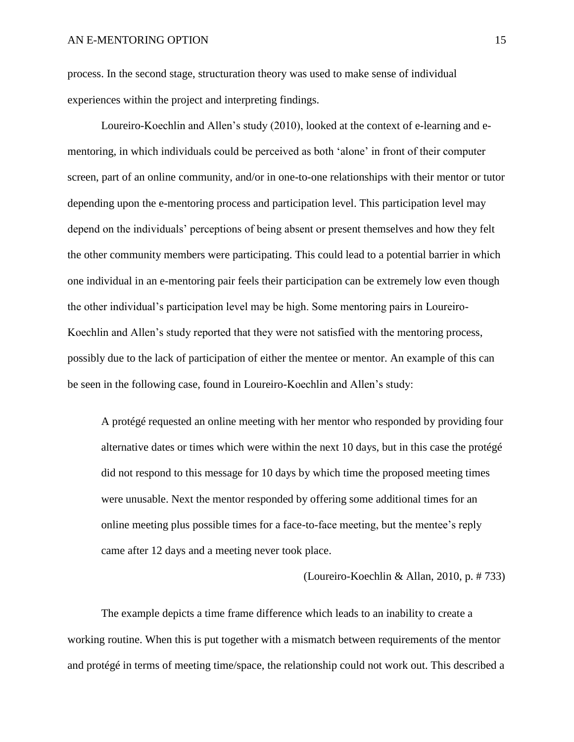process. In the second stage, structuration theory was used to make sense of individual experiences within the project and interpreting findings.

Loureiro-Koechlin and Allen's study (2010), looked at the context of e-learning and ementoring, in which individuals could be perceived as both 'alone' in front of their computer screen, part of an online community, and/or in one-to-one relationships with their mentor or tutor depending upon the e-mentoring process and participation level. This participation level may depend on the individuals' perceptions of being absent or present themselves and how they felt the other community members were participating. This could lead to a potential barrier in which one individual in an e-mentoring pair feels their participation can be extremely low even though the other individual's participation level may be high. Some mentoring pairs in Loureiro-Koechlin and Allen's study reported that they were not satisfied with the mentoring process, possibly due to the lack of participation of either the mentee or mentor. An example of this can be seen in the following case, found in Loureiro-Koechlin and Allen's study:

A protégé requested an online meeting with her mentor who responded by providing four alternative dates or times which were within the next 10 days, but in this case the protégé did not respond to this message for 10 days by which time the proposed meeting times were unusable. Next the mentor responded by offering some additional times for an online meeting plus possible times for a face-to-face meeting, but the mentee's reply came after 12 days and a meeting never took place.

(Loureiro-Koechlin & Allan, 2010, p. # 733)

The example depicts a time frame difference which leads to an inability to create a working routine. When this is put together with a mismatch between requirements of the mentor and protégé in terms of meeting time/space, the relationship could not work out. This described a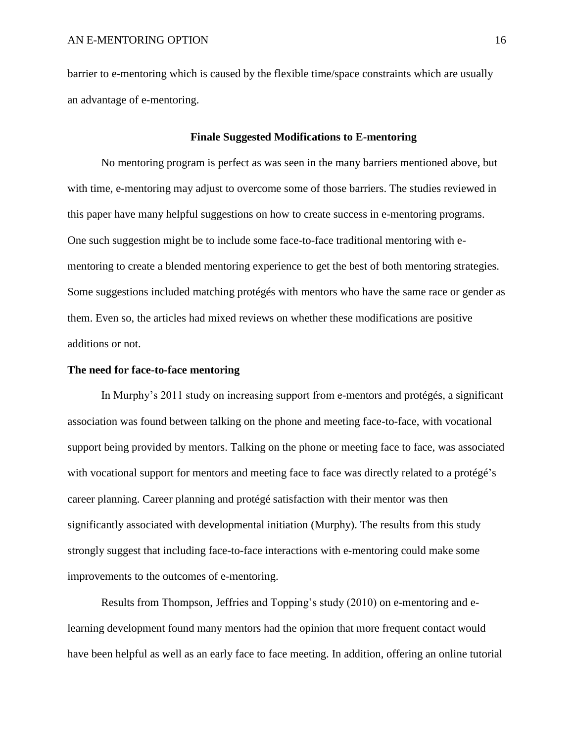barrier to e-mentoring which is caused by the flexible time/space constraints which are usually an advantage of e-mentoring.

## **Finale Suggested Modifications to E-mentoring**

No mentoring program is perfect as was seen in the many barriers mentioned above, but with time, e-mentoring may adjust to overcome some of those barriers. The studies reviewed in this paper have many helpful suggestions on how to create success in e-mentoring programs. One such suggestion might be to include some face-to-face traditional mentoring with ementoring to create a blended mentoring experience to get the best of both mentoring strategies. Some suggestions included matching protégés with mentors who have the same race or gender as them. Even so, the articles had mixed reviews on whether these modifications are positive additions or not.

## **The need for face-to-face mentoring**

In Murphy's 2011 study on increasing support from e-mentors and protégés, a significant association was found between talking on the phone and meeting face-to-face, with vocational support being provided by mentors. Talking on the phone or meeting face to face, was associated with vocational support for mentors and meeting face to face was directly related to a protégé's career planning. Career planning and protégé satisfaction with their mentor was then significantly associated with developmental initiation (Murphy). The results from this study strongly suggest that including face-to-face interactions with e-mentoring could make some improvements to the outcomes of e-mentoring.

Results from Thompson, Jeffries and Topping's study (2010) on e-mentoring and elearning development found many mentors had the opinion that more frequent contact would have been helpful as well as an early face to face meeting. In addition, offering an online tutorial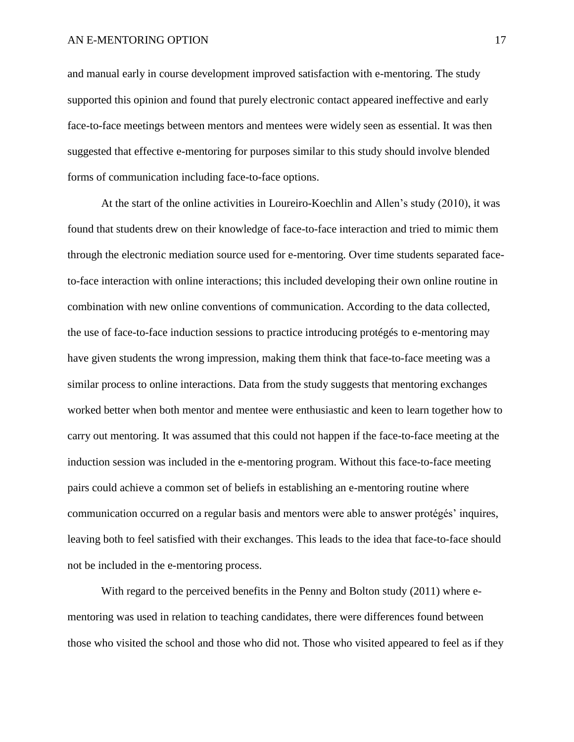#### AN E-MENTORING OPTION 17

and manual early in course development improved satisfaction with e-mentoring. The study supported this opinion and found that purely electronic contact appeared ineffective and early face-to-face meetings between mentors and mentees were widely seen as essential. It was then suggested that effective e-mentoring for purposes similar to this study should involve blended forms of communication including face-to-face options.

At the start of the online activities in Loureiro-Koechlin and Allen's study (2010), it was found that students drew on their knowledge of face-to-face interaction and tried to mimic them through the electronic mediation source used for e-mentoring. Over time students separated faceto-face interaction with online interactions; this included developing their own online routine in combination with new online conventions of communication. According to the data collected, the use of face-to-face induction sessions to practice introducing protégés to e-mentoring may have given students the wrong impression, making them think that face-to-face meeting was a similar process to online interactions. Data from the study suggests that mentoring exchanges worked better when both mentor and mentee were enthusiastic and keen to learn together how to carry out mentoring. It was assumed that this could not happen if the face-to-face meeting at the induction session was included in the e-mentoring program. Without this face-to-face meeting pairs could achieve a common set of beliefs in establishing an e-mentoring routine where communication occurred on a regular basis and mentors were able to answer protégés' inquires, leaving both to feel satisfied with their exchanges. This leads to the idea that face-to-face should not be included in the e-mentoring process.

With regard to the perceived benefits in the Penny and Bolton study (2011) where ementoring was used in relation to teaching candidates, there were differences found between those who visited the school and those who did not. Those who visited appeared to feel as if they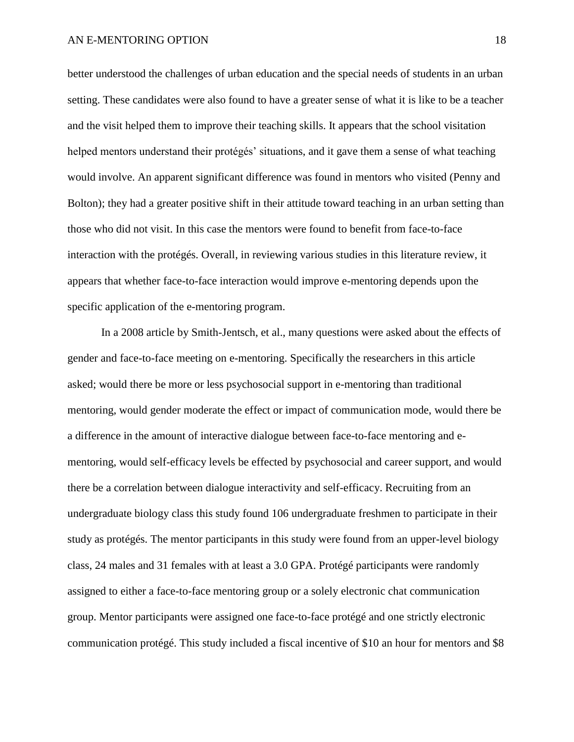better understood the challenges of urban education and the special needs of students in an urban setting. These candidates were also found to have a greater sense of what it is like to be a teacher and the visit helped them to improve their teaching skills. It appears that the school visitation helped mentors understand their protégés' situations, and it gave them a sense of what teaching would involve. An apparent significant difference was found in mentors who visited (Penny and Bolton); they had a greater positive shift in their attitude toward teaching in an urban setting than those who did not visit. In this case the mentors were found to benefit from face-to-face interaction with the protégés. Overall, in reviewing various studies in this literature review, it appears that whether face-to-face interaction would improve e-mentoring depends upon the specific application of the e-mentoring program.

In a 2008 article by Smith-Jentsch, et al., many questions were asked about the effects of gender and face-to-face meeting on e-mentoring. Specifically the researchers in this article asked; would there be more or less psychosocial support in e-mentoring than traditional mentoring, would gender moderate the effect or impact of communication mode, would there be a difference in the amount of interactive dialogue between face-to-face mentoring and ementoring, would self-efficacy levels be effected by psychosocial and career support, and would there be a correlation between dialogue interactivity and self-efficacy. Recruiting from an undergraduate biology class this study found 106 undergraduate freshmen to participate in their study as protégés. The mentor participants in this study were found from an upper-level biology class, 24 males and 31 females with at least a 3.0 GPA. Protégé participants were randomly assigned to either a face-to-face mentoring group or a solely electronic chat communication group. Mentor participants were assigned one face-to-face protégé and one strictly electronic communication protégé. This study included a fiscal incentive of \$10 an hour for mentors and \$8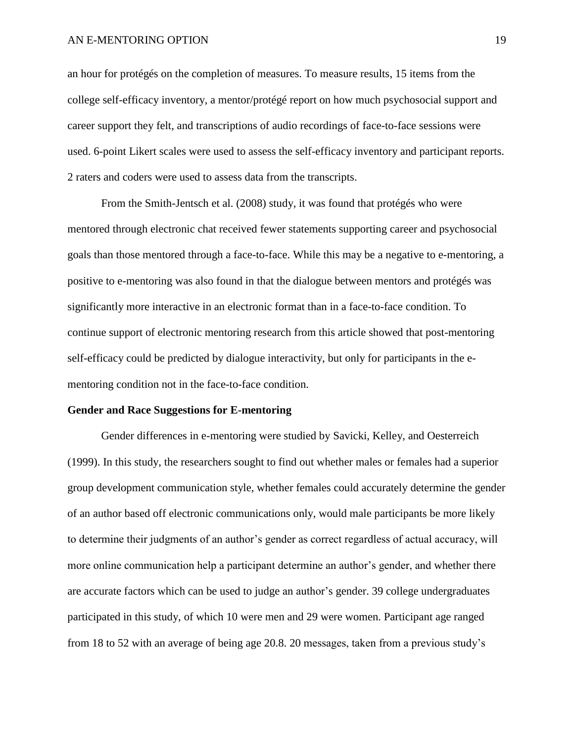## AN E-MENTORING OPTION 19

an hour for protégés on the completion of measures. To measure results, 15 items from the college self-efficacy inventory, a mentor/protégé report on how much psychosocial support and career support they felt, and transcriptions of audio recordings of face-to-face sessions were used. 6-point Likert scales were used to assess the self-efficacy inventory and participant reports. 2 raters and coders were used to assess data from the transcripts.

From the Smith-Jentsch et al. (2008) study, it was found that protégés who were mentored through electronic chat received fewer statements supporting career and psychosocial goals than those mentored through a face-to-face. While this may be a negative to e-mentoring, a positive to e-mentoring was also found in that the dialogue between mentors and protégés was significantly more interactive in an electronic format than in a face-to-face condition. To continue support of electronic mentoring research from this article showed that post-mentoring self-efficacy could be predicted by dialogue interactivity, but only for participants in the ementoring condition not in the face-to-face condition.

## **Gender and Race Suggestions for E-mentoring**

Gender differences in e-mentoring were studied by Savicki, Kelley, and Oesterreich (1999). In this study, the researchers sought to find out whether males or females had a superior group development communication style, whether females could accurately determine the gender of an author based off electronic communications only, would male participants be more likely to determine their judgments of an author's gender as correct regardless of actual accuracy, will more online communication help a participant determine an author's gender, and whether there are accurate factors which can be used to judge an author's gender. 39 college undergraduates participated in this study, of which 10 were men and 29 were women. Participant age ranged from 18 to 52 with an average of being age 20.8. 20 messages, taken from a previous study's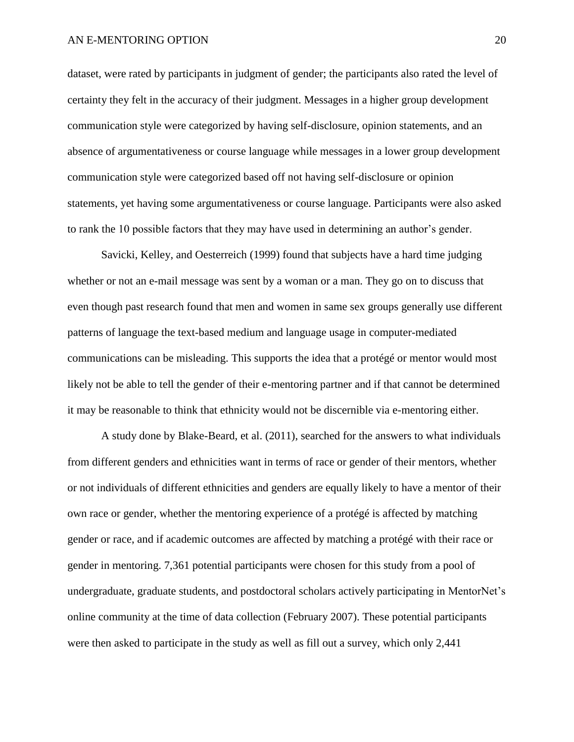dataset, were rated by participants in judgment of gender; the participants also rated the level of certainty they felt in the accuracy of their judgment. Messages in a higher group development communication style were categorized by having self-disclosure, opinion statements, and an absence of argumentativeness or course language while messages in a lower group development communication style were categorized based off not having self-disclosure or opinion statements, yet having some argumentativeness or course language. Participants were also asked to rank the 10 possible factors that they may have used in determining an author's gender.

Savicki, Kelley, and Oesterreich (1999) found that subjects have a hard time judging whether or not an e-mail message was sent by a woman or a man. They go on to discuss that even though past research found that men and women in same sex groups generally use different patterns of language the text-based medium and language usage in computer-mediated communications can be misleading. This supports the idea that a protégé or mentor would most likely not be able to tell the gender of their e-mentoring partner and if that cannot be determined it may be reasonable to think that ethnicity would not be discernible via e-mentoring either.

A study done by Blake-Beard, et al. (2011), searched for the answers to what individuals from different genders and ethnicities want in terms of race or gender of their mentors, whether or not individuals of different ethnicities and genders are equally likely to have a mentor of their own race or gender, whether the mentoring experience of a protégé is affected by matching gender or race, and if academic outcomes are affected by matching a protégé with their race or gender in mentoring. 7,361 potential participants were chosen for this study from a pool of undergraduate, graduate students, and postdoctoral scholars actively participating in MentorNet's online community at the time of data collection (February 2007). These potential participants were then asked to participate in the study as well as fill out a survey, which only 2,441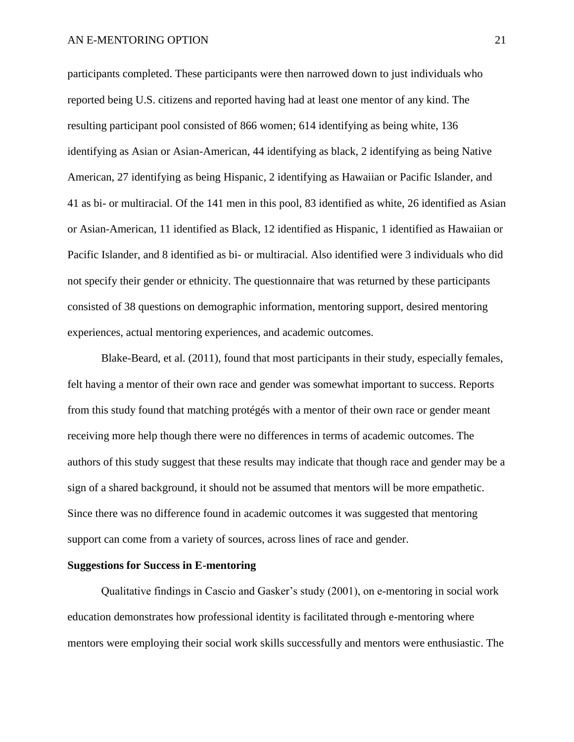participants completed. These participants were then narrowed down to just individuals who reported being U.S. citizens and reported having had at least one mentor of any kind. The resulting participant pool consisted of 866 women; 614 identifying as being white, 136 identifying as Asian or Asian-American, 44 identifying as black, 2 identifying as being Native American, 27 identifying as being Hispanic, 2 identifying as Hawaiian or Pacific Islander, and 41 as bi- or multiracial. Of the 141 men in this pool, 83 identified as white, 26 identified as Asian or Asian-American, 11 identified as Black, 12 identified as Hispanic, 1 identified as Hawaiian or Pacific Islander, and 8 identified as bi- or multiracial. Also identified were 3 individuals who did not specify their gender or ethnicity. The questionnaire that was returned by these participants consisted of 38 questions on demographic information, mentoring support, desired mentoring experiences, actual mentoring experiences, and academic outcomes.

Blake-Beard, et al. (2011), found that most participants in their study, especially females, felt having a mentor of their own race and gender was somewhat important to success. Reports from this study found that matching protégés with a mentor of their own race or gender meant receiving more help though there were no differences in terms of academic outcomes. The authors of this study suggest that these results may indicate that though race and gender may be a sign of a shared background, it should not be assumed that mentors will be more empathetic. Since there was no difference found in academic outcomes it was suggested that mentoring support can come from a variety of sources, across lines of race and gender.

## **Suggestions for Success in E-mentoring**

Qualitative findings in Cascio and Gasker's study (2001), on e-mentoring in social work education demonstrates how professional identity is facilitated through e-mentoring where mentors were employing their social work skills successfully and mentors were enthusiastic. The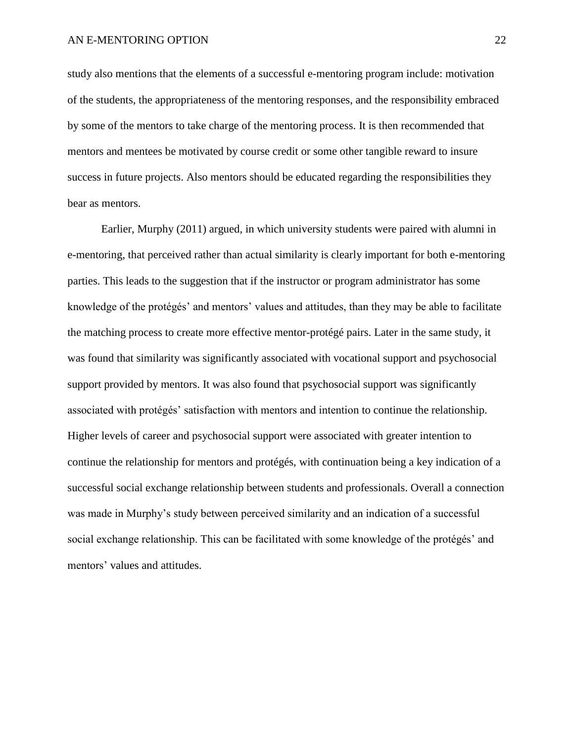study also mentions that the elements of a successful e-mentoring program include: motivation of the students, the appropriateness of the mentoring responses, and the responsibility embraced by some of the mentors to take charge of the mentoring process. It is then recommended that mentors and mentees be motivated by course credit or some other tangible reward to insure success in future projects. Also mentors should be educated regarding the responsibilities they bear as mentors.

Earlier, Murphy (2011) argued, in which university students were paired with alumni in e-mentoring, that perceived rather than actual similarity is clearly important for both e-mentoring parties. This leads to the suggestion that if the instructor or program administrator has some knowledge of the protégés' and mentors' values and attitudes, than they may be able to facilitate the matching process to create more effective mentor-protégé pairs. Later in the same study, it was found that similarity was significantly associated with vocational support and psychosocial support provided by mentors. It was also found that psychosocial support was significantly associated with protégés' satisfaction with mentors and intention to continue the relationship. Higher levels of career and psychosocial support were associated with greater intention to continue the relationship for mentors and protégés, with continuation being a key indication of a successful social exchange relationship between students and professionals. Overall a connection was made in Murphy's study between perceived similarity and an indication of a successful social exchange relationship. This can be facilitated with some knowledge of the protégés' and mentors' values and attitudes.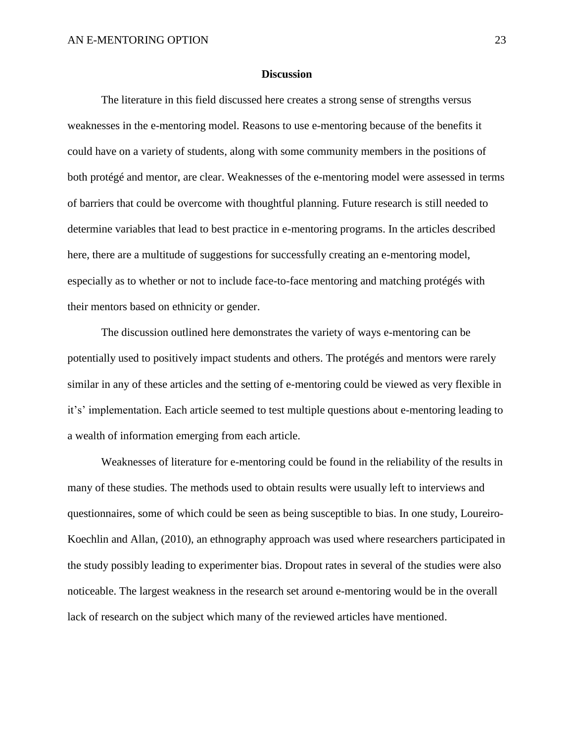## **Discussion**

The literature in this field discussed here creates a strong sense of strengths versus weaknesses in the e-mentoring model. Reasons to use e-mentoring because of the benefits it could have on a variety of students, along with some community members in the positions of both protégé and mentor, are clear. Weaknesses of the e-mentoring model were assessed in terms of barriers that could be overcome with thoughtful planning. Future research is still needed to determine variables that lead to best practice in e-mentoring programs. In the articles described here, there are a multitude of suggestions for successfully creating an e-mentoring model, especially as to whether or not to include face-to-face mentoring and matching protégés with their mentors based on ethnicity or gender.

The discussion outlined here demonstrates the variety of ways e-mentoring can be potentially used to positively impact students and others. The protégés and mentors were rarely similar in any of these articles and the setting of e-mentoring could be viewed as very flexible in it's' implementation. Each article seemed to test multiple questions about e-mentoring leading to a wealth of information emerging from each article.

Weaknesses of literature for e-mentoring could be found in the reliability of the results in many of these studies. The methods used to obtain results were usually left to interviews and questionnaires, some of which could be seen as being susceptible to bias. In one study, Loureiro-Koechlin and Allan, (2010), an ethnography approach was used where researchers participated in the study possibly leading to experimenter bias. Dropout rates in several of the studies were also noticeable. The largest weakness in the research set around e-mentoring would be in the overall lack of research on the subject which many of the reviewed articles have mentioned.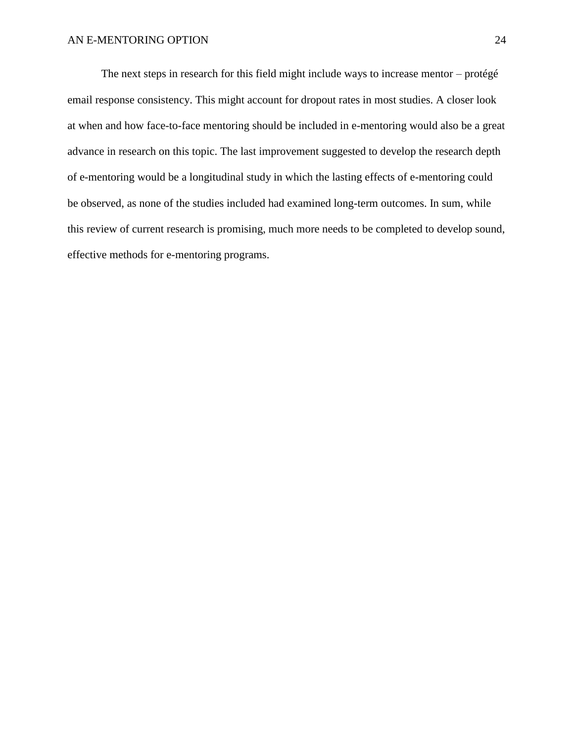The next steps in research for this field might include ways to increase mentor – protégé email response consistency. This might account for dropout rates in most studies. A closer look at when and how face-to-face mentoring should be included in e-mentoring would also be a great advance in research on this topic. The last improvement suggested to develop the research depth of e-mentoring would be a longitudinal study in which the lasting effects of e-mentoring could be observed, as none of the studies included had examined long-term outcomes. In sum, while this review of current research is promising, much more needs to be completed to develop sound, effective methods for e-mentoring programs.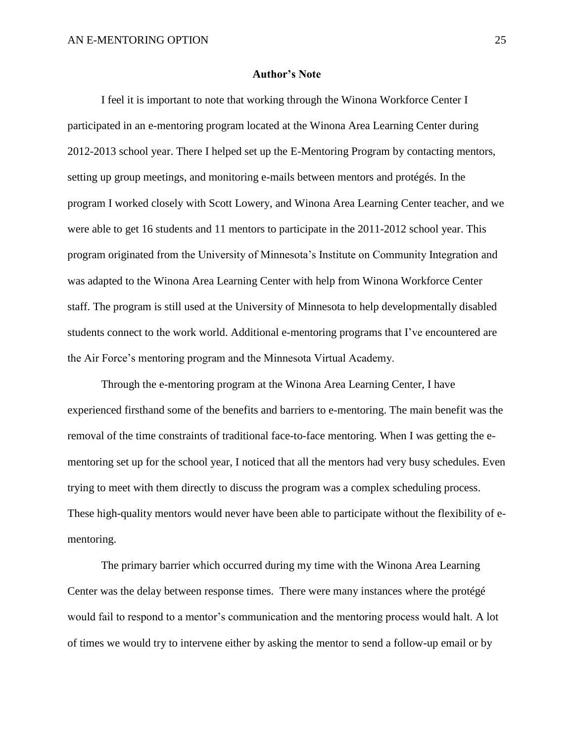## **Author's Note**

I feel it is important to note that working through the Winona Workforce Center I participated in an e-mentoring program located at the Winona Area Learning Center during 2012-2013 school year. There I helped set up the E-Mentoring Program by contacting mentors, setting up group meetings, and monitoring e-mails between mentors and protégés. In the program I worked closely with Scott Lowery, and Winona Area Learning Center teacher, and we were able to get 16 students and 11 mentors to participate in the 2011-2012 school year. This program originated from the University of Minnesota's Institute on Community Integration and was adapted to the Winona Area Learning Center with help from Winona Workforce Center staff. The program is still used at the University of Minnesota to help developmentally disabled students connect to the work world. Additional e-mentoring programs that I've encountered are the Air Force's mentoring program and the Minnesota Virtual Academy.

Through the e-mentoring program at the Winona Area Learning Center, I have experienced firsthand some of the benefits and barriers to e-mentoring. The main benefit was the removal of the time constraints of traditional face-to-face mentoring. When I was getting the ementoring set up for the school year, I noticed that all the mentors had very busy schedules. Even trying to meet with them directly to discuss the program was a complex scheduling process. These high-quality mentors would never have been able to participate without the flexibility of ementoring.

The primary barrier which occurred during my time with the Winona Area Learning Center was the delay between response times. There were many instances where the protégé would fail to respond to a mentor's communication and the mentoring process would halt. A lot of times we would try to intervene either by asking the mentor to send a follow-up email or by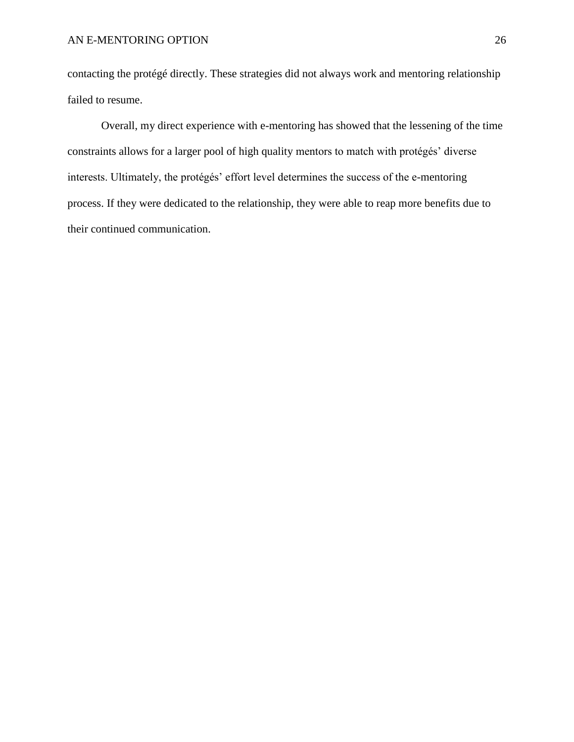contacting the protégé directly. These strategies did not always work and mentoring relationship failed to resume.

Overall, my direct experience with e-mentoring has showed that the lessening of the time constraints allows for a larger pool of high quality mentors to match with protégés' diverse interests. Ultimately, the protégés' effort level determines the success of the e-mentoring process. If they were dedicated to the relationship, they were able to reap more benefits due to their continued communication.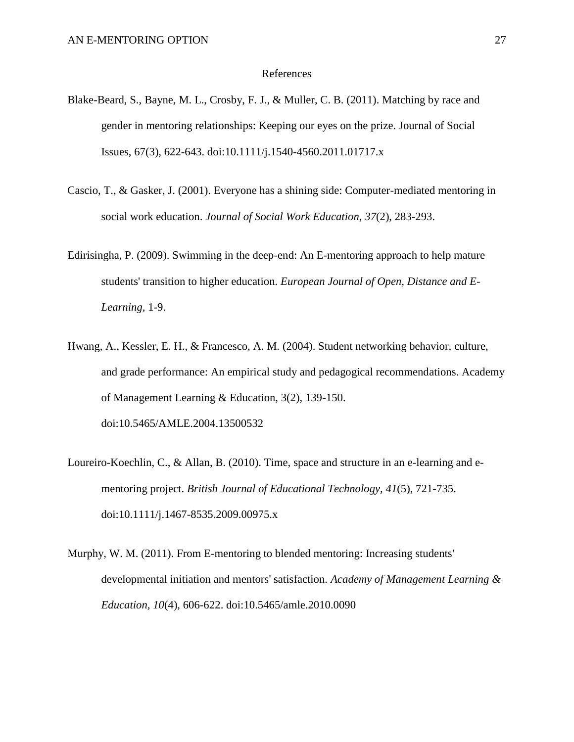#### References

- Blake-Beard, S., Bayne, M. L., Crosby, F. J., & Muller, C. B. (2011). Matching by race and gender in mentoring relationships: Keeping our eyes on the prize. Journal of Social Issues, 67(3), 622-643. doi:10.1111/j.1540-4560.2011.01717.x
- Cascio, T., & Gasker, J. (2001). Everyone has a shining side: Computer-mediated mentoring in social work education. *Journal of Social Work Education, 37*(2), 283-293.
- Edirisingha, P. (2009). Swimming in the deep-end: An E-mentoring approach to help mature students' transition to higher education. *European Journal of Open, Distance and E-Learning,* 1-9.
- Hwang, A., Kessler, E. H., & Francesco, A. M. (2004). Student networking behavior, culture, and grade performance: An empirical study and pedagogical recommendations. Academy of Management Learning & Education, 3(2), 139-150. doi:10.5465/AMLE.2004.13500532
- Loureiro-Koechlin, C., & Allan, B. (2010). Time, space and structure in an e-learning and ementoring project. *British Journal of Educational Technology, 41*(5), 721-735. doi:10.1111/j.1467-8535.2009.00975.x
- Murphy, W. M. (2011). From E-mentoring to blended mentoring: Increasing students' developmental initiation and mentors' satisfaction. *Academy of Management Learning & Education, 10*(4), 606-622. doi:10.5465/amle.2010.0090